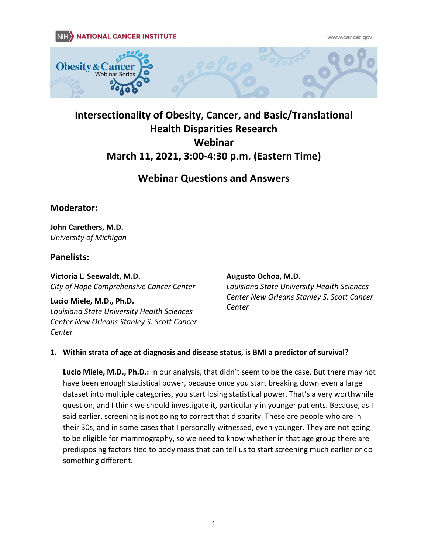www.cancer.gov





# **Webinar Questions and Answers**

# **Moderator:**

**John Carethers, M.D.** *University of Michigan*

# **Panelists:**

**Victoria L. Seewaldt, M.D.**  *City of Hope Comprehensive Cancer Center* 

**Lucio Miele, M.D., Ph.D.**  *Louisiana State University Health Sciences Center New Orleans Stanley S. Scott Cancer Center* 

#### **Augusto Ochoa, M.D.**

*Louisiana State University Health Sciences Center New Orleans Stanley S. Scott Cancer Center* 

### **1. Within strata of age at diagnosis and disease status, is BMI a predictor of survival?**

**Lucio Miele, M.D., Ph.D.:** In our analysis, that didn't seem to be the case. But there may not have been enough statistical power, because once you start breaking down even a large dataset into multiple categories, you start losing statistical power. That's a very worthwhile question, and I think we should investigate it, particularly in younger patients. Because, as I said earlier, screening is not going to correct that disparity. These are people who are in their 30s, and in some cases that I personally witnessed, even younger. They are not going to be eligible for mammography, so we need to know whether in that age group there are predisposing factors tied to body mass that can tell us to start screening much earlier or do something different.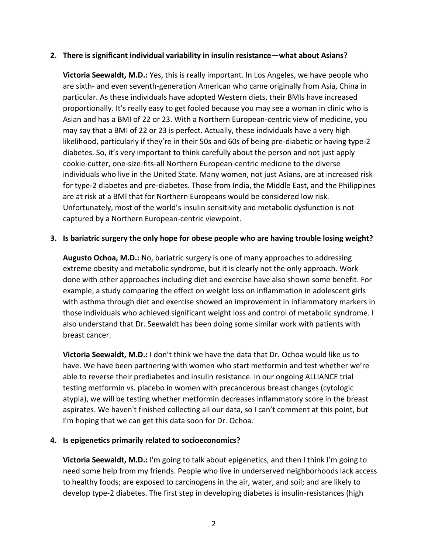#### **2. There is significant individual variability in insulin resistance—what about Asians?**

**Victoria Seewaldt, M.D.:** Yes, this is really important. In Los Angeles, we have people who are sixth- and even seventh-generation American who came originally from Asia, China in particular. As these individuals have adopted Western diets, their BMIs have increased proportionally. It's really easy to get fooled because you may see a woman in clinic who is Asian and has a BMI of 22 or 23. With a Northern European-centric view of medicine, you may say that a BMI of 22 or 23 is perfect. Actually, these individuals have a very high likelihood, particularly if they're in their 50s and 60s of being pre-diabetic or having type-2 diabetes. So, it's very important to think carefully about the person and not just apply cookie-cutter, one-size-fits-all Northern European-centric medicine to the diverse individuals who live in the United State. Many women, not just Asians, are at increased risk for type-2 diabetes and pre-diabetes. Those from India, the Middle East, and the Philippines are at risk at a BMI that for Northern Europeans would be considered low risk. Unfortunately, most of the world's insulin sensitivity and metabolic dysfunction is not captured by a Northern European-centric viewpoint.

#### **3. Is bariatric surgery the only hope for obese people who are having trouble losing weight?**

**Augusto Ochoa, M.D.:** No, bariatric surgery is one of many approaches to addressing extreme obesity and metabolic syndrome, but it is clearly not the only approach. Work done with other approaches including diet and exercise have also shown some benefit. For example, a study comparing the effect on weight loss on inflammation in adolescent girls with asthma through diet and exercise showed an improvement in inflammatory markers in those individuals who achieved significant weight loss and control of metabolic syndrome. I also understand that Dr. Seewaldt has been doing some similar work with patients with breast cancer.

**Victoria Seewaldt, M.D.:** I don't think we have the data that Dr. Ochoa would like us to have. We have been partnering with women who start metformin and test whether we're able to reverse their prediabetes and insulin resistance. In our ongoing ALLIANCE trial testing metformin vs. placebo in women with precancerous breast changes (cytologic atypia), we will be testing whether metformin decreases inflammatory score in the breast aspirates. We haven't finished collecting all our data, so I can't comment at this point, but I'm hoping that we can get this data soon for Dr. Ochoa.

### **4. Is epigenetics primarily related to socioeconomics?**

**Victoria Seewaldt, M.D.:** I'm going to talk about epigenetics, and then I think I'm going to need some help from my friends. People who live in underserved neighborhoods lack access to healthy foods; are exposed to carcinogens in the air, water, and soil; and are likely to develop type-2 diabetes. The first step in developing diabetes is insulin-resistances (high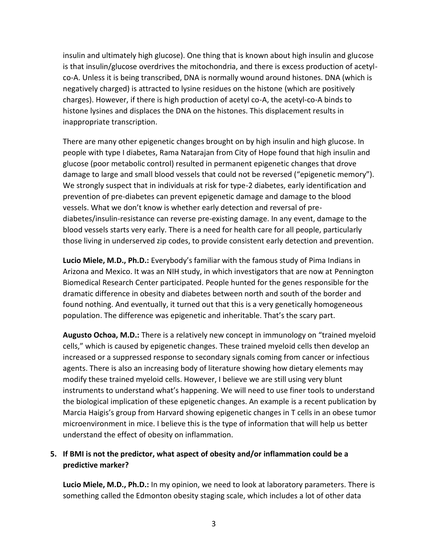insulin and ultimately high glucose). One thing that is known about high insulin and glucose is that insulin/glucose overdrives the mitochondria, and there is excess production of acetylco-A. Unless it is being transcribed, DNA is normally wound around histones. DNA (which is negatively charged) is attracted to lysine residues on the histone (which are positively charges). However, if there is high production of acetyl co-A, the acetyl-co-A binds to histone lysines and displaces the DNA on the histones. This displacement results in inappropriate transcription.

There are many other epigenetic changes brought on by high insulin and high glucose. In people with type I diabetes, Rama Natarajan from City of Hope found that high insulin and glucose (poor metabolic control) resulted in permanent epigenetic changes that drove damage to large and small blood vessels that could not be reversed ("epigenetic memory"). We strongly suspect that in individuals at risk for type-2 diabetes, early identification and prevention of pre-diabetes can prevent epigenetic damage and damage to the blood vessels. What we don't know is whether early detection and reversal of prediabetes/insulin-resistance can reverse pre-existing damage. In any event, damage to the blood vessels starts very early. There is a need for health care for all people, particularly those living in underserved zip codes, to provide consistent early detection and prevention.

**Lucio Miele, M.D., Ph.D.:** Everybody's familiar with the famous study of Pima Indians in Arizona and Mexico. It was an NIH study, in which investigators that are now at Pennington Biomedical Research Center participated. People hunted for the genes responsible for the dramatic difference in obesity and diabetes between north and south of the border and found nothing. And eventually, it turned out that this is a very genetically homogeneous population. The difference was epigenetic and inheritable. That's the scary part.

**Augusto Ochoa, M.D.:** There is a relatively new concept in immunology on "trained myeloid cells," which is caused by epigenetic changes. These trained myeloid cells then develop an increased or a suppressed response to secondary signals coming from cancer or infectious agents. There is also an increasing body of literature showing how dietary elements may modify these trained myeloid cells. However, I believe we are still using very blunt instruments to understand what's happening. We will need to use finer tools to understand the biological implication of these epigenetic changes. An example is a recent publication by Marcia Haigis's group from Harvard showing epigenetic changes in T cells in an obese tumor microenvironment in mice. I believe this is the type of information that will help us better understand the effect of obesity on inflammation.

# **5. If BMI is not the predictor, what aspect of obesity and/or inflammation could be a predictive marker?**

**Lucio Miele, M.D., Ph.D.:** In my opinion, we need to look at laboratory parameters. There is something called the Edmonton obesity staging scale, which includes a lot of other data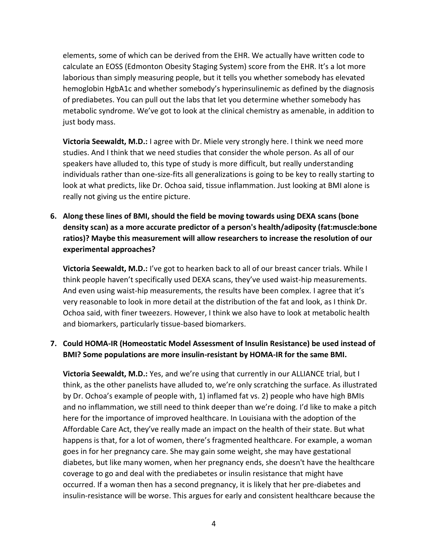elements, some of which can be derived from the EHR. We actually have written code to calculate an EOSS (Edmonton Obesity Staging System) score from the EHR. It's a lot more laborious than simply measuring people, but it tells you whether somebody has elevated hemoglobin HgbA1c and whether somebody's hyperinsulinemic as defined by the diagnosis of prediabetes. You can pull out the labs that let you determine whether somebody has metabolic syndrome. We've got to look at the clinical chemistry as amenable, in addition to just body mass.

**Victoria Seewaldt, M.D.:** I agree with Dr. Miele very strongly here. I think we need more studies. And I think that we need studies that consider the whole person. As all of our speakers have alluded to, this type of study is more difficult, but really understanding individuals rather than one-size-fits all generalizations is going to be key to really starting to look at what predicts, like Dr. Ochoa said, tissue inflammation. Just looking at BMI alone is really not giving us the entire picture.

**6. Along these lines of BMI, should the field be moving towards using DEXA scans (bone density scan) as a more accurate predictor of a person's health/adiposity (fat:muscle:bone ratios)? Maybe this measurement will allow researchers to increase the resolution of our experimental approaches?** 

**Victoria Seewaldt, M.D.:** I've got to hearken back to all of our breast cancer trials. While I think people haven't specifically used DEXA scans, they've used waist-hip measurements. And even using waist-hip measurements, the results have been complex. I agree that it's very reasonable to look in more detail at the distribution of the fat and look, as I think Dr. Ochoa said, with finer tweezers. However, I think we also have to look at metabolic health and biomarkers, particularly tissue-based biomarkers.

# **7. Could HOMA-IR (Homeostatic Model Assessment of Insulin Resistance) be used instead of BMI? Some populations are more insulin-resistant by HOMA-IR for the same BMI.**

**Victoria Seewaldt, M.D.:** Yes, and we're using that currently in our ALLIANCE trial, but I think, as the other panelists have alluded to, we're only scratching the surface. As illustrated by Dr. Ochoa's example of people with, 1) inflamed fat vs. 2) people who have high BMIs and no inflammation, we still need to think deeper than we're doing. I'd like to make a pitch here for the importance of improved healthcare. In Louisiana with the adoption of the Affordable Care Act, they've really made an impact on the health of their state. But what happens is that, for a lot of women, there's fragmented healthcare. For example, a woman goes in for her pregnancy care. She may gain some weight, she may have gestational diabetes, but like many women, when her pregnancy ends, she doesn't have the healthcare coverage to go and deal with the prediabetes or insulin resistance that might have occurred. If a woman then has a second pregnancy, it is likely that her pre-diabetes and insulin-resistance will be worse. This argues for early and consistent healthcare because the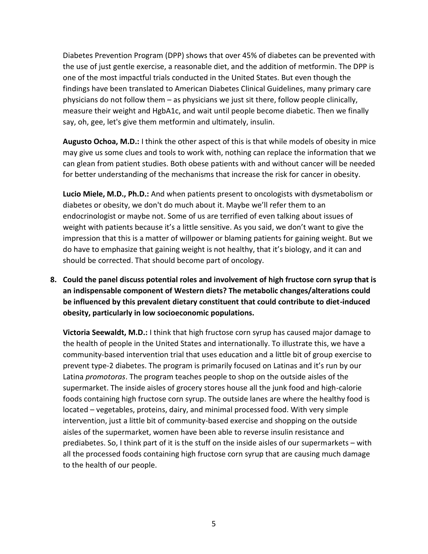Diabetes Prevention Program (DPP) shows that over 45% of diabetes can be prevented with the use of just gentle exercise, a reasonable diet, and the addition of metformin. The DPP is one of the most impactful trials conducted in the United States. But even though the findings have been translated to American Diabetes Clinical Guidelines, many primary care physicians do not follow them – as physicians we just sit there, follow people clinically, measure their weight and HgbA1c, and wait until people become diabetic. Then we finally say, oh, gee, let's give them metformin and ultimately, insulin.

**Augusto Ochoa, M.D.:** I think the other aspect of this is that while models of obesity in mice may give us some clues and tools to work with, nothing can replace the information that we can glean from patient studies. Both obese patients with and without cancer will be needed for better understanding of the mechanisms that increase the risk for cancer in obesity.

**Lucio Miele, M.D., Ph.D.:** And when patients present to oncologists with dysmetabolism or diabetes or obesity, we don't do much about it. Maybe we'll refer them to an endocrinologist or maybe not. Some of us are terrified of even talking about issues of weight with patients because it's a little sensitive. As you said, we don't want to give the impression that this is a matter of willpower or blaming patients for gaining weight. But we do have to emphasize that gaining weight is not healthy, that it's biology, and it can and should be corrected. That should become part of oncology.

**8. Could the panel discuss potential roles and involvement of high fructose corn syrup that is an indispensable component of Western diets? The metabolic changes/alterations could be influenced by this prevalent dietary constituent that could contribute to diet-induced obesity, particularly in low socioeconomic populations.** 

**Victoria Seewaldt, M.D.:** I think that high fructose corn syrup has caused major damage to the health of people in the United States and internationally. To illustrate this, we have a community-based intervention trial that uses education and a little bit of group exercise to prevent type-2 diabetes. The program is primarily focused on Latinas and it's run by our Latina *promotoras*. The program teaches people to shop on the outside aisles of the supermarket. The inside aisles of grocery stores house all the junk food and high-calorie foods containing high fructose corn syrup. The outside lanes are where the healthy food is located – vegetables, proteins, dairy, and minimal processed food. With very simple intervention, just a little bit of community-based exercise and shopping on the outside aisles of the supermarket, women have been able to reverse insulin resistance and prediabetes. So, I think part of it is the stuff on the inside aisles of our supermarkets – with all the processed foods containing high fructose corn syrup that are causing much damage to the health of our people.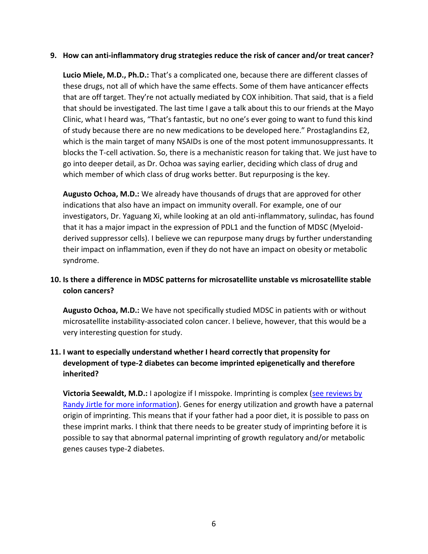#### **9. How can anti-inflammatory drug strategies reduce the risk of cancer and/or treat cancer?**

**Lucio Miele, M.D., Ph.D.:** That's a complicated one, because there are different classes of these drugs, not all of which have the same effects. Some of them have anticancer effects that are off target. They're not actually mediated by COX inhibition. That said, that is a field that should be investigated. The last time I gave a talk about this to our friends at the Mayo Clinic, what I heard was, "That's fantastic, but no one's ever going to want to fund this kind of study because there are no new medications to be developed here." Prostaglandins E2, which is the main target of many NSAIDs is one of the most potent immunosuppressants. It blocks the T-cell activation. So, there is a mechanistic reason for taking that. We just have to go into deeper detail, as Dr. Ochoa was saying earlier, deciding which class of drug and which member of which class of drug works better. But repurposing is the key.

**Augusto Ochoa, M.D.:** We already have thousands of drugs that are approved for other indications that also have an impact on immunity overall. For example, one of our investigators, Dr. Yaguang Xi, while looking at an old anti-inflammatory, sulindac, has found that it has a major impact in the expression of PDL1 and the function of MDSC (Myeloidderived suppressor cells). I believe we can repurpose many drugs by further understanding their impact on inflammation, even if they do not have an impact on obesity or metabolic syndrome.

# **10. Is there a difference in MDSC patterns for microsatellite unstable vs microsatellite stable colon cancers?**

**Augusto Ochoa, M.D.:** We have not specifically studied MDSC in patients with or without microsatellite instability-associated colon cancer. I believe, however, that this would be a very interesting question for study.

# **11. I want to especially understand whether I heard correctly that propensity for development of type-2 diabetes can become imprinted epigenetically and therefore inherited?**

**Victoria Seewaldt, M.D.:** I apologize if I misspoke. Imprinting is complex [\(see reviews by](https://randyjirtle.com/)  [Randy Jirtle for more information\)](https://randyjirtle.com/). Genes for energy utilization and growth have a paternal origin of imprinting. This means that if your father had a poor diet, it is possible to pass on these imprint marks. I think that there needs to be greater study of imprinting before it is possible to say that abnormal paternal imprinting of growth regulatory and/or metabolic genes causes type-2 diabetes.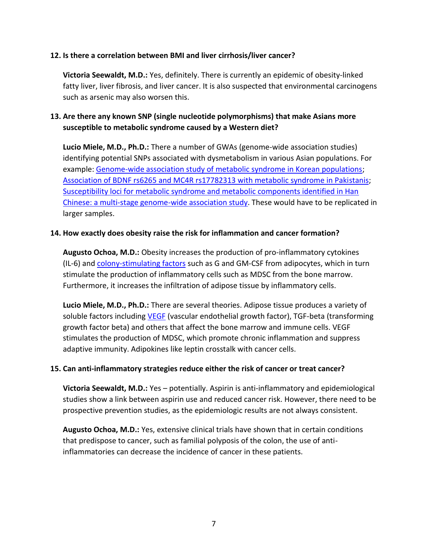#### **12. Is there a correlation between BMI and liver cirrhosis/liver cancer?**

**Victoria Seewaldt, M.D.:** Yes, definitely. There is currently an epidemic of obesity-linked fatty liver, liver fibrosis, and liver cancer. It is also suspected that environmental carcinogens such as arsenic may also worsen this.

# **13. Are there any known SNP (single nucleotide polymorphisms) that make Asians more susceptible to metabolic syndrome caused by a Western diet?**

**Lucio Miele, M.D., Ph.D.:** There a number of GWAs (genome-wide association studies) identifying potential SNPs associated with dysmetabolism in various Asian populations. For example: [Genome-wide association study of metabolic syndrome in Korean populations;](https://pubmed.ncbi.nlm.nih.gov/31910446/) [Association of BDNF rs6265 and MC4R rs17782313 with metabolic syndrome in Pakistanis;](https://pubmed.ncbi.nlm.nih.gov/31502573/) [Susceptibility loci for metabolic syndrome and metabolic components identified in Han](https://pubmed.ncbi.nlm.nih.gov/28371326/)  [Chinese: a multi-stage genome-wide association study.](https://pubmed.ncbi.nlm.nih.gov/28371326/) These would have to be replicated in larger samples.

#### **14. How exactly does obesity raise the risk for inflammation and cancer formation?**

**Augusto Ochoa, M.D.:** Obesity increases the production of pro-inflammatory cytokines (IL-6) and [colony-stimulating factors](https://www.cancer.gov/publications/dictionaries/cancer-terms/def/colony-stimulating-factor) such as G and GM-CSF from adipocytes, which in turn stimulate the production of inflammatory cells such as MDSC from the bone marrow. Furthermore, it increases the infiltration of adipose tissue by inflammatory cells.

**Lucio Miele, M.D., Ph.D.:** There are several theories. Adipose tissue produces a variety of soluble factors including [VEGF](https://www.cancer.gov/publications/dictionaries/cancer-terms/def/vascular-endothelial-growth-factor) (vascular endothelial growth factor), TGF-beta (transforming growth factor beta) and others that affect the bone marrow and immune cells. VEGF stimulates the production of MDSC, which promote chronic inflammation and suppress adaptive immunity. Adipokines like leptin crosstalk with cancer cells.

### **15. Can anti-inflammatory strategies reduce either the risk of cancer or treat cancer?**

**Victoria Seewaldt, M.D.:** Yes – potentially. Aspirin is anti-inflammatory and epidemiological studies show a link between aspirin use and reduced cancer risk. However, there need to be prospective prevention studies, as the epidemiologic results are not always consistent.

**Augusto Ochoa, M.D.:** Yes, extensive clinical trials have shown that in certain conditions that predispose to cancer, such as familial polyposis of the colon, the use of antiinflammatories can decrease the incidence of cancer in these patients.